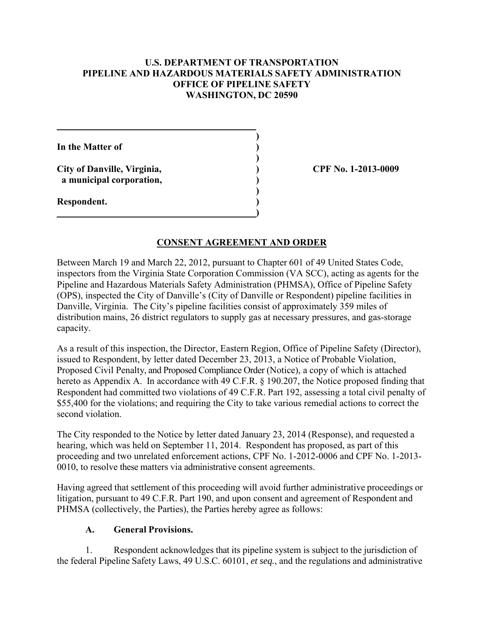# **U.S. DEPARTMENT OF TRANSPORTATION PIPELINE AND HAZARDOUS MATERIALS SAFETY ADMINISTRATION OFFICE OF PIPELINE SAFETY WASHINGTON, DC 20590**

 **) In the Matter of ) ) City of Danville, Virginia, ) CPF No. 1-2013-0009 a municipal corporation, ) ) Respondent. ) 1 (a) (b) (b) (b) (b) (b) (c) (d) (d)** 

# **CONSENT AGREEMENT AND ORDER**

Between March 19 and March 22, 2012, pursuant to Chapter 601 of 49 United States Code, inspectors from the Virginia State Corporation Commission (VA SCC), acting as agents for the Pipeline and Hazardous Materials Safety Administration (PHMSA), Office of Pipeline Safety (OPS), inspected the City of Danville's (City of Danville or Respondent) pipeline facilities in Danville, Virginia. The City's pipeline facilities consist of approximately 359 miles of distribution mains, 26 district regulators to supply gas at necessary pressures, and gas-storage capacity.

As a result of this inspection, the Director, Eastern Region, Office of Pipeline Safety (Director), issued to Respondent, by letter dated December 23, 2013, a Notice of Probable Violation, Proposed Civil Penalty, and Proposed Compliance Order (Notice), a copy of which is attached hereto as Appendix A. In accordance with 49 C.F.R. § 190.207, the Notice proposed finding that Respondent had committed two violations of 49 C.F.R. Part 192, assessing a total civil penalty of \$55,400 for the violations; and requiring the City to take various remedial actions to correct the second violation.

The City responded to the Notice by letter dated January 23, 2014 (Response), and requested a hearing, which was held on September 11, 2014. Respondent has proposed, as part of this proceeding and two unrelated enforcement actions, CPF No. 1-2012-0006 and CPF No. 1-2013- 0010, to resolve these matters via administrative consent agreements.

Having agreed that settlement of this proceeding will avoid further administrative proceedings or litigation, pursuant to 49 C.F.R. Part 190, and upon consent and agreement of Respondent and PHMSA (collectively, the Parties), the Parties hereby agree as follows:

### **A. General Provisions.**

1. Respondent acknowledges that its pipeline system is subject to the jurisdiction of the federal Pipeline Safety Laws, 49 U.S.C. 60101, *et seq.*, and the regulations and administrative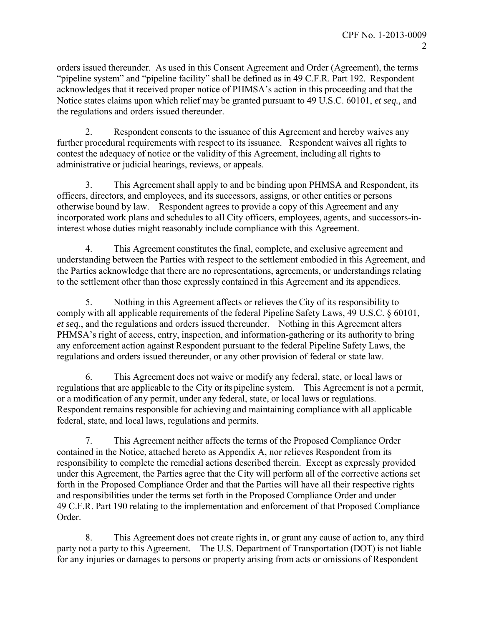orders issued thereunder. As used in this Consent Agreement and Order (Agreement), the terms "pipeline system" and "pipeline facility" shall be defined as in 49 C.F.R. Part 192. Respondent acknowledges that it received proper notice of PHMSA's action in this proceeding and that the Notice states claims upon which relief may be granted pursuant to 49 U.S.C. 60101, *et seq.,* and the regulations and orders issued thereunder.

2. Respondent consents to the issuance of this Agreement and hereby waives any further procedural requirements with respect to its issuance. Respondent waives all rights to contest the adequacy of notice or the validity of this Agreement, including all rights to administrative or judicial hearings, reviews, or appeals.

3. This Agreement shall apply to and be binding upon PHMSA and Respondent, its officers, directors, and employees, and its successors, assigns, or other entities or persons otherwise bound by law. Respondent agrees to provide a copy of this Agreement and any incorporated work plans and schedules to all City officers, employees, agents, and successors-ininterest whose duties might reasonably include compliance with this Agreement.

4. This Agreement constitutes the final, complete, and exclusive agreement and understanding between the Parties with respect to the settlement embodied in this Agreement, and the Parties acknowledge that there are no representations, agreements, or understandings relating to the settlement other than those expressly contained in this Agreement and its appendices.

5. Nothing in this Agreement affects or relieves the City of its responsibility to comply with all applicable requirements of the federal Pipeline Safety Laws, 49 U.S.C. § 60101, *et seq.*, and the regulations and orders issued thereunder. Nothing in this Agreement alters PHMSA's right of access, entry, inspection, and information-gathering or its authority to bring any enforcement action against Respondent pursuant to the federal Pipeline Safety Laws, the regulations and orders issued thereunder, or any other provision of federal or state law.

6. This Agreement does not waive or modify any federal, state, or local laws or regulations that are applicable to the City or its pipeline system. This Agreement is not a permit, or a modification of any permit, under any federal, state, or local laws or regulations. Respondent remains responsible for achieving and maintaining compliance with all applicable federal, state, and local laws, regulations and permits.

7. This Agreement neither affects the terms of the Proposed Compliance Order contained in the Notice, attached hereto as Appendix A, nor relieves Respondent from its responsibility to complete the remedial actions described therein. Except as expressly provided under this Agreement, the Parties agree that the City will perform all of the corrective actions set forth in the Proposed Compliance Order and that the Parties will have all their respective rights and responsibilities under the terms set forth in the Proposed Compliance Order and under 49 C.F.R. Part 190 relating to the implementation and enforcement of that Proposed Compliance Order.

8. This Agreement does not create rights in, or grant any cause of action to, any third party not a party to this Agreement. The U.S. Department of Transportation (DOT) is not liable for any injuries or damages to persons or property arising from acts or omissions of Respondent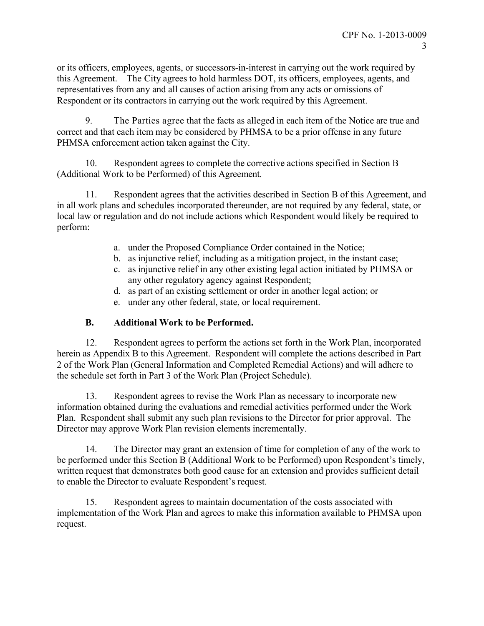or its officers, employees, agents, or successors-in-interest in carrying out the work required by this Agreement. The City agrees to hold harmless DOT, its officers, employees, agents, and representatives from any and all causes of action arising from any acts or omissions of Respondent or its contractors in carrying out the work required by this Agreement.

9. The Parties agree that the facts as alleged in each item of the Notice are true and correct and that each item may be considered by PHMSA to be a prior offense in any future PHMSA enforcement action taken against the City.

10. Respondent agrees to complete the corrective actions specified in Section B (Additional Work to be Performed) of this Agreement.

11. Respondent agrees that the activities described in Section B of this Agreement, and in all work plans and schedules incorporated thereunder, are not required by any federal, state, or local law or regulation and do not include actions which Respondent would likely be required to perform:

- a. under the Proposed Compliance Order contained in the Notice;
- b. as injunctive relief, including as a mitigation project, in the instant case;
- c. as injunctive relief in any other existing legal action initiated by PHMSA or any other regulatory agency against Respondent;
- d. as part of an existing settlement or order in another legal action; or
- e. under any other federal, state, or local requirement.

# **B. Additional Work to be Performed.**

12. Respondent agrees to perform the actions set forth in the Work Plan, incorporated herein as Appendix B to this Agreement. Respondent will complete the actions described in Part 2 of the Work Plan (General Information and Completed Remedial Actions) and will adhere to the schedule set forth in Part 3 of the Work Plan (Project Schedule).

13. Respondent agrees to revise the Work Plan as necessary to incorporate new information obtained during the evaluations and remedial activities performed under the Work Plan. Respondent shall submit any such plan revisions to the Director for prior approval. The Director may approve Work Plan revision elements incrementally.

14. The Director may grant an extension of time for completion of any of the work to be performed under this Section B (Additional Work to be Performed) upon Respondent's timely, written request that demonstrates both good cause for an extension and provides sufficient detail to enable the Director to evaluate Respondent's request.

15. Respondent agrees to maintain documentation of the costs associated with implementation of the Work Plan and agrees to make this information available to PHMSA upon request.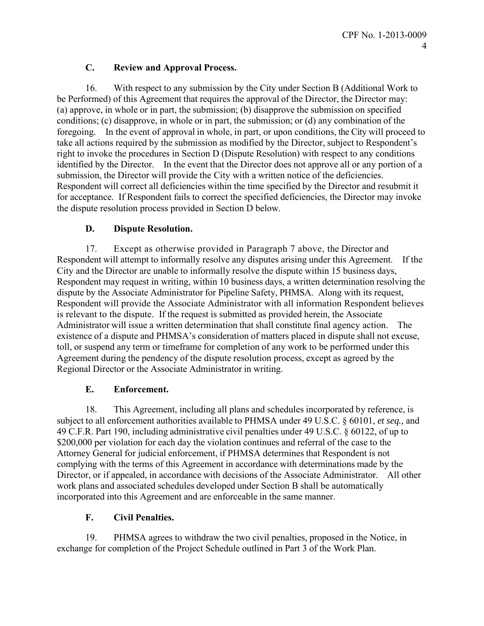# **C. Review and Approval Process.**

16. With respect to any submission by the City under Section B (Additional Work to be Performed) of this Agreement that requires the approval of the Director, the Director may: (a) approve, in whole or in part, the submission; (b) disapprove the submission on specified conditions; (c) disapprove, in whole or in part, the submission; or (d) any combination of the foregoing. In the event of approval in whole, in part, or upon conditions, the City will proceed to take all actions required by the submission as modified by the Director, subject to Respondent's right to invoke the procedures in Section D (Dispute Resolution) with respect to any conditions identified by the Director. In the event that the Director does not approve all or any portion of a submission, the Director will provide the City with a written notice of the deficiencies. Respondent will correct all deficiencies within the time specified by the Director and resubmit it for acceptance. If Respondent fails to correct the specified deficiencies, the Director may invoke the dispute resolution process provided in Section D below.

# **D. Dispute Resolution.**

17. Except as otherwise provided in Paragraph 7 above, the Director and Respondent will attempt to informally resolve any disputes arising under this Agreement. If the City and the Director are unable to informally resolve the dispute within 15 business days, Respondent may request in writing, within 10 business days, a written determination resolving the dispute by the Associate Administrator for Pipeline Safety, PHMSA. Along with its request, Respondent will provide the Associate Administrator with all information Respondent believes is relevant to the dispute. If the request is submitted as provided herein, the Associate Administrator will issue a written determination that shall constitute final agency action. The existence of a dispute and PHMSA's consideration of matters placed in dispute shall not excuse, toll, or suspend any term or timeframe for completion of any work to be performed under this Agreement during the pendency of the dispute resolution process, except as agreed by the Regional Director or the Associate Administrator in writing.

# **E. Enforcement.**

18. This Agreement, including all plans and schedules incorporated by reference, is subject to all enforcement authorities available to PHMSA under 49 U.S.C. § 60101, *et seq.,* and 49 C.F.R. Part 190, including administrative civil penalties under 49 U.S.C. § 60122, of up to \$200,000 per violation for each day the violation continues and referral of the case to the Attorney General for judicial enforcement, if PHMSA determines that Respondent is not complying with the terms of this Agreement in accordance with determinations made by the Director, or if appealed, in accordance with decisions of the Associate Administrator. All other work plans and associated schedules developed under Section B shall be automatically incorporated into this Agreement and are enforceable in the same manner.

# **F. Civil Penalties.**

19. PHMSA agrees to withdraw the two civil penalties, proposed in the Notice, in exchange for completion of the Project Schedule outlined in Part 3 of the Work Plan.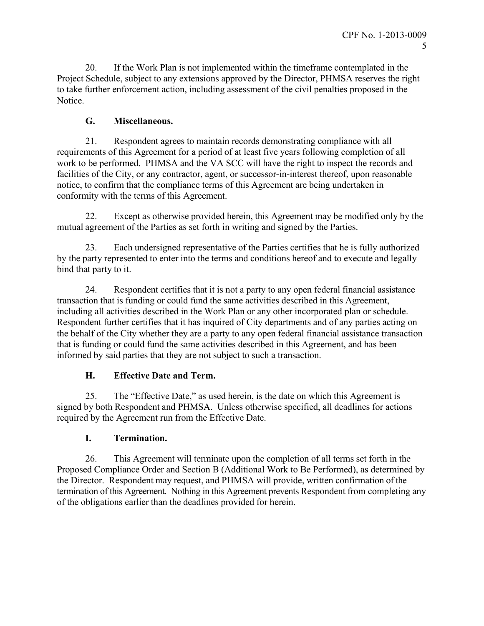20. If the Work Plan is not implemented within the timeframe contemplated in the Project Schedule, subject to any extensions approved by the Director, PHMSA reserves the right to take further enforcement action, including assessment of the civil penalties proposed in the Notice.

# **G. Miscellaneous.**

21. Respondent agrees to maintain records demonstrating compliance with all requirements of this Agreement for a period of at least five years following completion of all work to be performed. PHMSA and the VA SCC will have the right to inspect the records and facilities of the City, or any contractor, agent, or successor-in-interest thereof, upon reasonable notice, to confirm that the compliance terms of this Agreement are being undertaken in conformity with the terms of this Agreement.

22. Except as otherwise provided herein, this Agreement may be modified only by the mutual agreement of the Parties as set forth in writing and signed by the Parties.

23. Each undersigned representative of the Parties certifies that he is fully authorized by the party represented to enter into the terms and conditions hereof and to execute and legally bind that party to it.

24. Respondent certifies that it is not a party to any open federal financial assistance transaction that is funding or could fund the same activities described in this Agreement, including all activities described in the Work Plan or any other incorporated plan or schedule. Respondent further certifies that it has inquired of City departments and of any parties acting on the behalf of the City whether they are a party to any open federal financial assistance transaction that is funding or could fund the same activities described in this Agreement, and has been informed by said parties that they are not subject to such a transaction.

# **H. Effective Date and Term.**

25. The "Effective Date," as used herein, is the date on which this Agreement is signed by both Respondent and PHMSA. Unless otherwise specified, all deadlines for actions required by the Agreement run from the Effective Date.

# **I. Termination.**

26. This Agreement will terminate upon the completion of all terms set forth in the Proposed Compliance Order and Section B (Additional Work to Be Performed), as determined by the Director. Respondent may request, and PHMSA will provide, written confirmation of the termination of this Agreement. Nothing in this Agreement prevents Respondent from completing any of the obligations earlier than the deadlines provided for herein.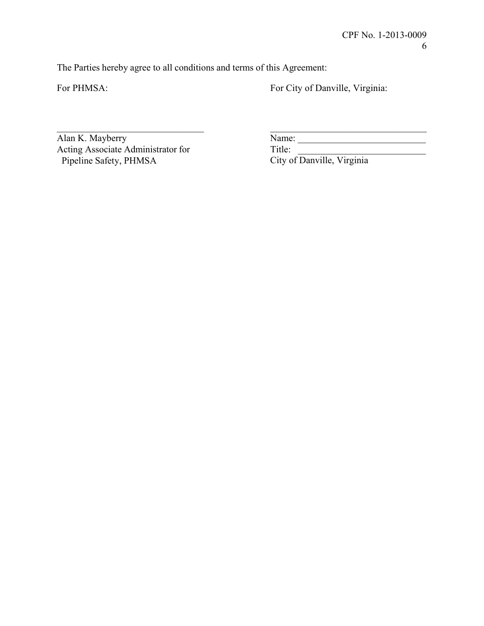The Parties hereby agree to all conditions and terms of this Agreement:

For PHMSA: For City of Danville, Virginia:

\_\_\_\_\_\_\_\_\_\_\_\_\_\_\_\_\_\_\_\_\_\_\_\_\_\_\_\_\_\_\_ \_\_\_\_\_\_\_\_\_\_\_\_\_\_\_\_\_\_\_\_\_\_\_\_\_\_\_\_\_\_\_\_\_ Acting Associate Administrator for<br>
Pipeline Safety, PHMSA<br>
City of Danville, Virginia

 $\overline{\text{Name:}}$ 

City of Danville, Virginia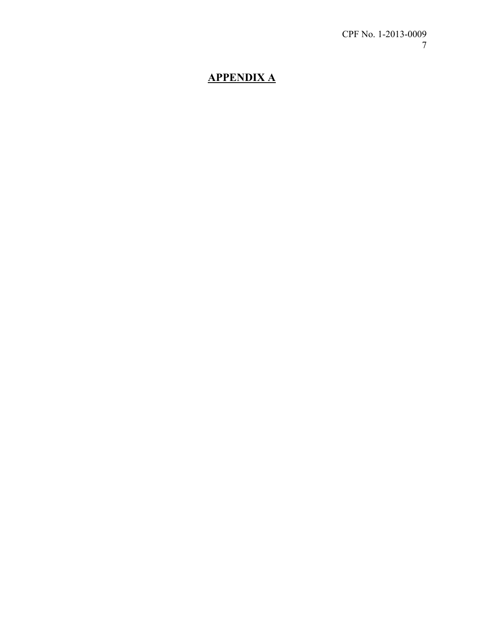# **APPENDIX A**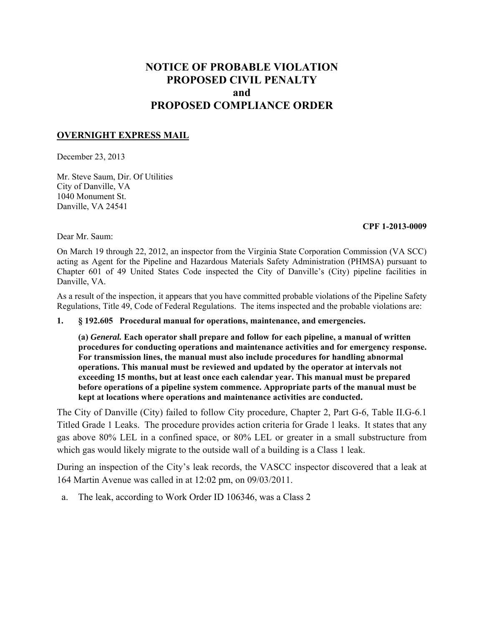# **NOTICE OF PROBABLE VIOLATION PROPOSED CIVIL PENALTY and PROPOSED COMPLIANCE ORDER**

### **OVERNIGHT EXPRESS MAIL**

December 23, 2013

Mr. Steve Saum, Dir. Of Utilities City of Danville, VA 1040 Monument St. Danville, VA 24541

#### **CPF 1-2013-0009**

Dear Mr. Saum:

On March 19 through 22, 2012, an inspector from the Virginia State Corporation Commission (VA SCC) acting as Agent for the Pipeline and Hazardous Materials Safety Administration (PHMSA) pursuant to Chapter 601 of 49 United States Code inspected the City of Danville's (City) pipeline facilities in Danville, VA.

As a result of the inspection, it appears that you have committed probable violations of the Pipeline Safety Regulations, Title 49, Code of Federal Regulations. The items inspected and the probable violations are:

**1. § 192.605 Procedural manual for operations, maintenance, and emergencies.** 

**(a)** *General.* **Each operator shall prepare and follow for each pipeline, a manual of written procedures for conducting operations and maintenance activities and for emergency response. For transmission lines, the manual must also include procedures for handling abnormal operations. This manual must be reviewed and updated by the operator at intervals not exceeding 15 months, but at least once each calendar year. This manual must be prepared before operations of a pipeline system commence. Appropriate parts of the manual must be kept at locations where operations and maintenance activities are conducted.** 

The City of Danville (City) failed to follow City procedure, Chapter 2, Part G-6, Table II.G-6.1 Titled Grade 1 Leaks. The procedure provides action criteria for Grade 1 leaks. It states that any gas above 80% LEL in a confined space, or 80% LEL or greater in a small substructure from which gas would likely migrate to the outside wall of a building is a Class 1 leak.

During an inspection of the City's leak records, the VASCC inspector discovered that a leak at 164 Martin Avenue was called in at 12:02 pm, on 09/03/2011.

a. The leak, according to Work Order ID 106346, was a Class 2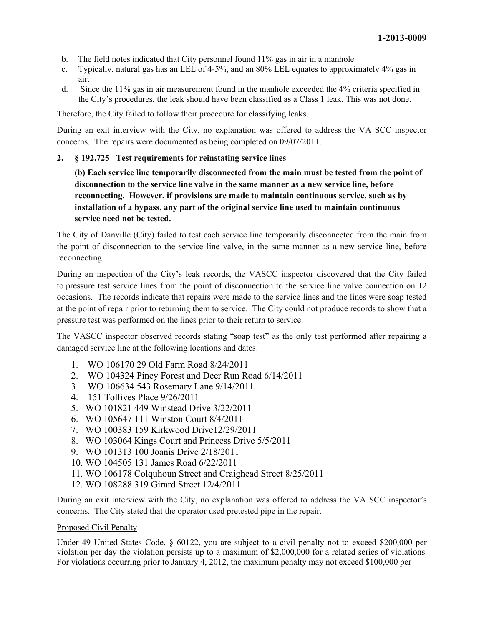- b. The field notes indicated that City personnel found 11% gas in air in a manhole
- c. Typically, natural gas has an LEL of 4-5%, and an 80% LEL equates to approximately 4% gas in air.
- d. Since the 11% gas in air measurement found in the manhole exceeded the 4% criteria specified in the City's procedures, the leak should have been classified as a Class 1 leak. This was not done.

Therefore, the City failed to follow their procedure for classifying leaks.

During an exit interview with the City, no explanation was offered to address the VA SCC inspector concerns. The repairs were documented as being completed on 09/07/2011.

### **2. § 192.725 Test requirements for reinstating service lines**

**(b) Each service line temporarily disconnected from the main must be tested from the point of disconnection to the service line valve in the same manner as a new service line, before reconnecting. However, if provisions are made to maintain continuous service, such as by installation of a bypass, any part of the original service line used to maintain continuous service need not be tested.** 

The City of Danville (City) failed to test each service line temporarily disconnected from the main from the point of disconnection to the service line valve, in the same manner as a new service line, before reconnecting.

During an inspection of the City's leak records, the VASCC inspector discovered that the City failed to pressure test service lines from the point of disconnection to the service line valve connection on 12 occasions. The records indicate that repairs were made to the service lines and the lines were soap tested at the point of repair prior to returning them to service. The City could not produce records to show that a pressure test was performed on the lines prior to their return to service.

The VASCC inspector observed records stating "soap test" as the only test performed after repairing a damaged service line at the following locations and dates:

- 1. WO 106170 29 Old Farm Road 8/24/2011
- 2. WO 104324 Piney Forest and Deer Run Road 6/14/2011
- 3. WO 106634 543 Rosemary Lane 9/14/2011
- 4. 151 Tollives Place 9/26/2011
- 5. WO 101821 449 Winstead Drive 3/22/2011
- 6. WO 105647 111 Winston Court 8/4/2011
- 7. WO 100383 159 Kirkwood Drive12/29/2011
- 8. WO 103064 Kings Court and Princess Drive 5/5/2011
- 9. WO 101313 100 Joanis Drive 2/18/2011
- 10. WO 104505 131 James Road 6/22/2011
- 11. WO 106178 Colquhoun Street and Craighead Street 8/25/2011
- 12. WO 108288 319 Girard Street 12/4/2011.

During an exit interview with the City, no explanation was offered to address the VA SCC inspector's concerns. The City stated that the operator used pretested pipe in the repair.

#### Proposed Civil Penalty

Under 49 United States Code, § 60122, you are subject to a civil penalty not to exceed \$200,000 per violation per day the violation persists up to a maximum of \$2,000,000 for a related series of violations. For violations occurring prior to January 4, 2012, the maximum penalty may not exceed \$100,000 per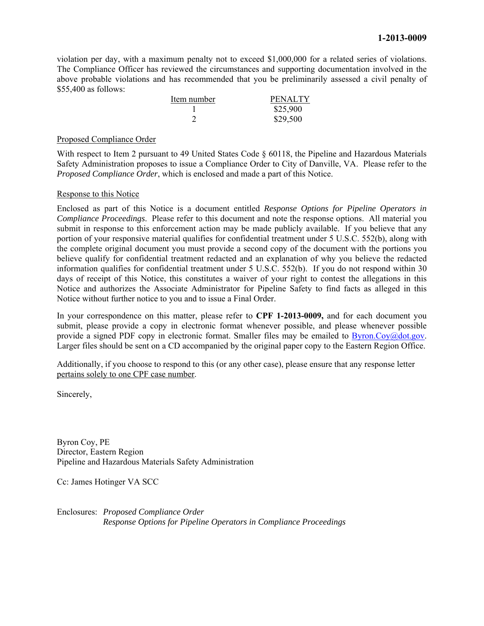violation per day, with a maximum penalty not to exceed \$1,000,000 for a related series of violations. The Compliance Officer has reviewed the circumstances and supporting documentation involved in the above probable violations and has recommended that you be preliminarily assessed a civil penalty of \$55,400 as follows:

| Item number | <b>PENALTY</b> |
|-------------|----------------|
|             | \$25,900       |
|             | \$29,500       |

#### Proposed Compliance Order

With respect to Item 2 pursuant to 49 United States Code  $\S$  60118, the Pipeline and Hazardous Materials Safety Administration proposes to issue a Compliance Order to City of Danville, VA. Please refer to the *Proposed Compliance Order*, which is enclosed and made a part of this Notice.

#### Response to this Notice

Enclosed as part of this Notice is a document entitled *Response Options for Pipeline Operators in Compliance Proceedings*. Please refer to this document and note the response options. All material you submit in response to this enforcement action may be made publicly available. If you believe that any portion of your responsive material qualifies for confidential treatment under 5 U.S.C. 552(b), along with the complete original document you must provide a second copy of the document with the portions you believe qualify for confidential treatment redacted and an explanation of why you believe the redacted information qualifies for confidential treatment under 5 U.S.C. 552(b). If you do not respond within 30 days of receipt of this Notice, this constitutes a waiver of your right to contest the allegations in this Notice and authorizes the Associate Administrator for Pipeline Safety to find facts as alleged in this Notice without further notice to you and to issue a Final Order.

In your correspondence on this matter, please refer to **CPF 1-2013-0009,** and for each document you submit, please provide a copy in electronic format whenever possible, and please whenever possible provide a signed PDF copy in electronic format. Smaller files may be emailed to Byron.Coy@dot.gov. Larger files should be sent on a CD accompanied by the original paper copy to the Eastern Region Office.

Additionally, if you choose to respond to this (or any other case), please ensure that any response letter pertains solely to one CPF case number.

Sincerely,

Byron Coy, PE Director, Eastern Region Pipeline and Hazardous Materials Safety Administration

Cc: James Hotinger VA SCC

Enclosures: *Proposed Compliance Order Response Options for Pipeline Operators in Compliance Proceedings*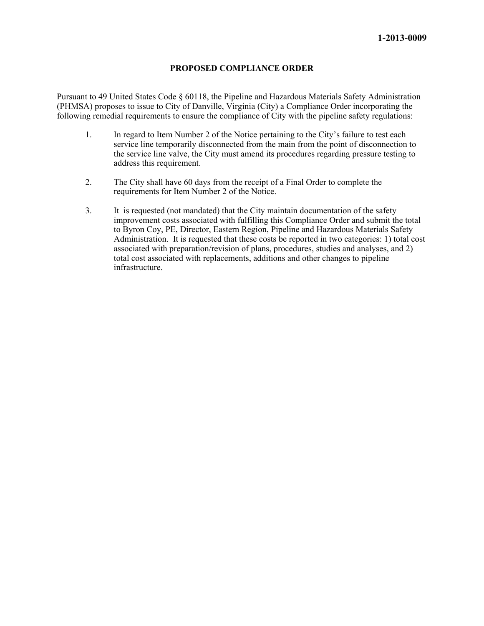#### **PROPOSED COMPLIANCE ORDER**

Pursuant to 49 United States Code § 60118, the Pipeline and Hazardous Materials Safety Administration (PHMSA) proposes to issue to City of Danville, Virginia (City) a Compliance Order incorporating the following remedial requirements to ensure the compliance of City with the pipeline safety regulations:

- 1. In regard to Item Number 2 of the Notice pertaining to the City's failure to test each service line temporarily disconnected from the main from the point of disconnection to the service line valve, the City must amend its procedures regarding pressure testing to address this requirement.
- 2. The City shall have 60 days from the receipt of a Final Order to complete the requirements for Item Number 2 of the Notice.
- 3. It is requested (not mandated) that the City maintain documentation of the safety improvement costs associated with fulfilling this Compliance Order and submit the total to Byron Coy, PE, Director, Eastern Region, Pipeline and Hazardous Materials Safety Administration. It is requested that these costs be reported in two categories: 1) total cost associated with preparation/revision of plans, procedures, studies and analyses, and 2) total cost associated with replacements, additions and other changes to pipeline infrastructure.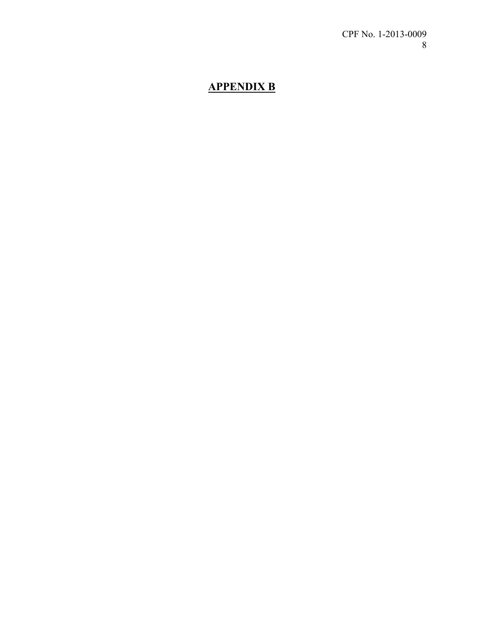# **APPENDIX B**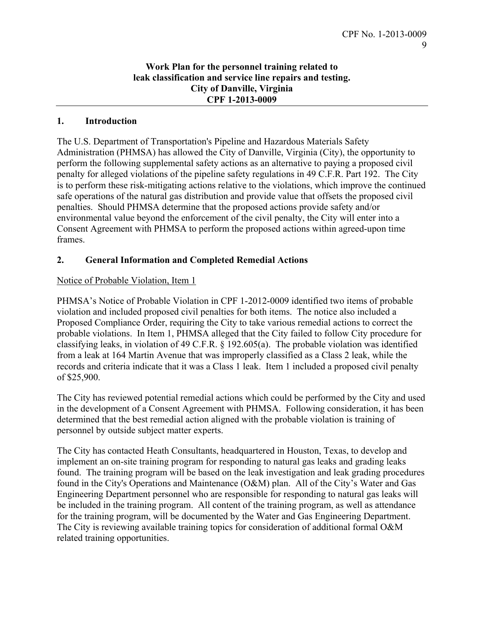# **Work Plan for the personnel training related to leak classification and service line repairs and testing. City of Danville, Virginia CPF 1-2013-0009**

# **1. Introduction**

The U.S. Department of Transportation's Pipeline and Hazardous Materials Safety Administration (PHMSA) has allowed the City of Danville, Virginia (City), the opportunity to perform the following supplemental safety actions as an alternative to paying a proposed civil penalty for alleged violations of the pipeline safety regulations in 49 C.F.R. Part 192. The City is to perform these risk-mitigating actions relative to the violations, which improve the continued safe operations of the natural gas distribution and provide value that offsets the proposed civil penalties. Should PHMSA determine that the proposed actions provide safety and/or environmental value beyond the enforcement of the civil penalty, the City will enter into a Consent Agreement with PHMSA to perform the proposed actions within agreed-upon time frames.

# **2. General Information and Completed Remedial Actions**

# Notice of Probable Violation, Item 1

PHMSA's Notice of Probable Violation in CPF 1-2012-0009 identified two items of probable violation and included proposed civil penalties for both items. The notice also included a Proposed Compliance Order, requiring the City to take various remedial actions to correct the probable violations. In Item 1, PHMSA alleged that the City failed to follow City procedure for classifying leaks, in violation of 49 C.F.R. § 192.605(a). The probable violation was identified from a leak at 164 Martin Avenue that was improperly classified as a Class 2 leak, while the records and criteria indicate that it was a Class 1 leak. Item 1 included a proposed civil penalty of \$25,900.

The City has reviewed potential remedial actions which could be performed by the City and used in the development of a Consent Agreement with PHMSA. Following consideration, it has been determined that the best remedial action aligned with the probable violation is training of personnel by outside subject matter experts.

The City has contacted Heath Consultants, headquartered in Houston, Texas, to develop and implement an on-site training program for responding to natural gas leaks and grading leaks found. The training program will be based on the leak investigation and leak grading procedures found in the City's Operations and Maintenance (O&M) plan. All of the City's Water and Gas Engineering Department personnel who are responsible for responding to natural gas leaks will be included in the training program. All content of the training program, as well as attendance for the training program, will be documented by the Water and Gas Engineering Department. The City is reviewing available training topics for consideration of additional formal O&M related training opportunities.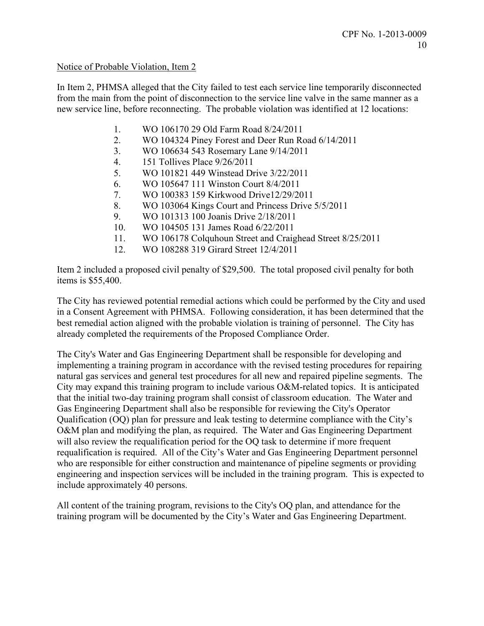## Notice of Probable Violation, Item 2

In Item 2, PHMSA alleged that the City failed to test each service line temporarily disconnected from the main from the point of disconnection to the service line valve in the same manner as a new service line, before reconnecting. The probable violation was identified at 12 locations:

- 1. WO 106170 29 Old Farm Road 8/24/2011
- 2. WO 104324 Piney Forest and Deer Run Road 6/14/2011
- 3. WO 106634 543 Rosemary Lane 9/14/2011
- 4. 151 Tollives Place 9/26/2011
- 5. WO 101821 449 Winstead Drive 3/22/2011
- 6. WO 105647 111 Winston Court 8/4/2011
- 7. WO 100383 159 Kirkwood Drive12/29/2011
- 8. WO 103064 Kings Court and Princess Drive 5/5/2011
- 9. WO 101313 100 Joanis Drive 2/18/2011
- 10. WO 104505 131 James Road 6/22/2011
- 11. WO 106178 Colquhoun Street and Craighead Street 8/25/2011
- 12. WO 108288 319 Girard Street 12/4/2011

Item 2 included a proposed civil penalty of \$29,500. The total proposed civil penalty for both items is \$55,400.

The City has reviewed potential remedial actions which could be performed by the City and used in a Consent Agreement with PHMSA. Following consideration, it has been determined that the best remedial action aligned with the probable violation is training of personnel. The City has already completed the requirements of the Proposed Compliance Order.

The City's Water and Gas Engineering Department shall be responsible for developing and implementing a training program in accordance with the revised testing procedures for repairing natural gas services and general test procedures for all new and repaired pipeline segments. The City may expand this training program to include various O&M-related topics. It is anticipated that the initial two-day training program shall consist of classroom education. The Water and Gas Engineering Department shall also be responsible for reviewing the City's Operator Qualification (OQ) plan for pressure and leak testing to determine compliance with the City's O&M plan and modifying the plan, as required. The Water and Gas Engineering Department will also review the requalification period for the OQ task to determine if more frequent requalification is required. All of the City's Water and Gas Engineering Department personnel who are responsible for either construction and maintenance of pipeline segments or providing engineering and inspection services will be included in the training program. This is expected to include approximately 40 persons.

All content of the training program, revisions to the City's OQ plan, and attendance for the training program will be documented by the City's Water and Gas Engineering Department.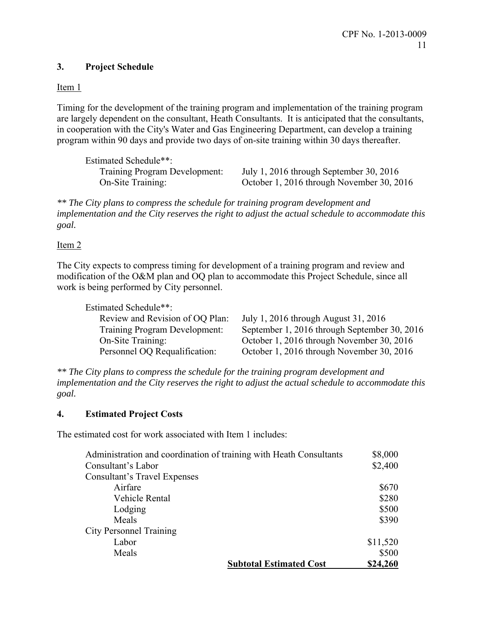# **3. Project Schedule**

Item 1

Timing for the development of the training program and implementation of the training program are largely dependent on the consultant, Heath Consultants. It is anticipated that the consultants, in cooperation with the City's Water and Gas Engineering Department, can develop a training program within 90 days and provide two days of on-site training within 30 days thereafter.

Estimated Schedule\*\*:

Training Program Development: July 1, 2016 through September 30, 2016 On-Site Training: October 1, 2016 through November 30, 2016

*\*\* The City plans to compress the schedule for training program development and implementation and the City reserves the right to adjust the actual schedule to accommodate this goal.* 

# Item 2

The City expects to compress timing for development of a training program and review and modification of the O&M plan and OQ plan to accommodate this Project Schedule, since all work is being performed by City personnel.

Estimated Schedule\*\*:

| Review and Revision of OQ Plan:      | July 1, 2016 through August 31, 2016         |
|--------------------------------------|----------------------------------------------|
| <b>Training Program Development:</b> | September 1, 2016 through September 30, 2016 |
| On-Site Training:                    | October 1, 2016 through November 30, 2016    |
| Personnel OQ Requalification:        | October 1, 2016 through November 30, 2016    |

*\*\* The City plans to compress the schedule for the training program development and implementation and the City reserves the right to adjust the actual schedule to accommodate this goal.* 

# **4. Estimated Project Costs**

The estimated cost for work associated with Item 1 includes:

| Administration and coordination of training with Heath Consultants | \$8,000  |
|--------------------------------------------------------------------|----------|
| Consultant's Labor                                                 | \$2,400  |
| <b>Consultant's Travel Expenses</b>                                |          |
| Airfare                                                            | \$670    |
| Vehicle Rental                                                     | \$280    |
| Lodging                                                            | \$500    |
| Meals                                                              | \$390    |
| <b>City Personnel Training</b>                                     |          |
| Labor                                                              | \$11,520 |
| Meals                                                              | \$500    |
| <b>Subtotal Estimated Cost</b>                                     | \$24,260 |